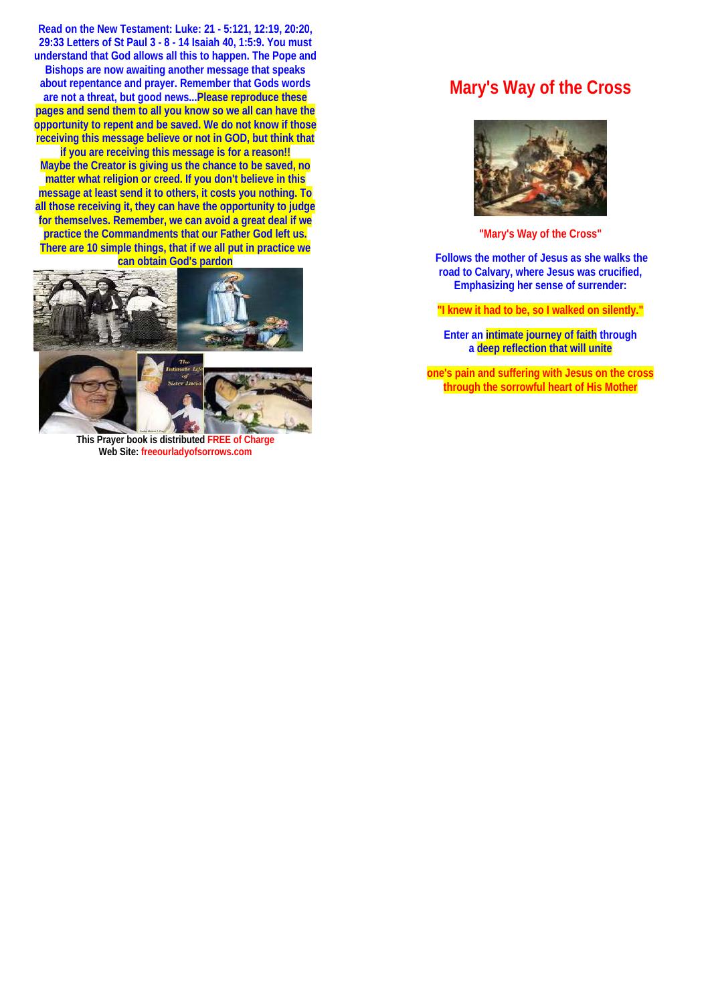**Read on the New Testament: Luke: 21 - 5:121, 12:19, 20:20, 29:33 Letters of St Paul 3 - 8 - 14 Isaiah 40, 1:5:9. You must understand that God allows all this to happen. The Pope and Bishops are now awaiting another message that speaks about repentance and prayer. Remember that Gods words are not a threat, but good news...Please reproduce these pages and send them to all you know so we all can have the opportunity to repent and be saved. We do not know if those receiving this message believe or not in GOD, but think that if you are receiving this message is for a reason!!** 

**Maybe the Creator is giving us the chance to be saved, no matter what religion or creed. If you don't believe in this message at least send it to others, it costs you nothing. To all those receiving it, they can have the opportunity to judge for themselves. Remember, we can avoid a great deal if we practice the Commandments that our Father God left us. There are 10 simple things, that if we all put in practice we can obtain God's pardon**



**This Prayer book is distributed FREE of Charge Web Site: freeourladyofsorrows.com**

### **Mary's Way of the Cross**



**"Mary's Way of the Cross"** 

 **Follows the mother of Jesus as she walks the road to Calvary, where Jesus was crucified, Emphasizing her sense of surrender:** 

**"I knew it had to be, so I walked on silently."** 

**Enter an intimate journey of faith through a deep reflection that will unite** 

**one's pain and suffering with Jesus on the cross through the sorrowful heart of His Mother**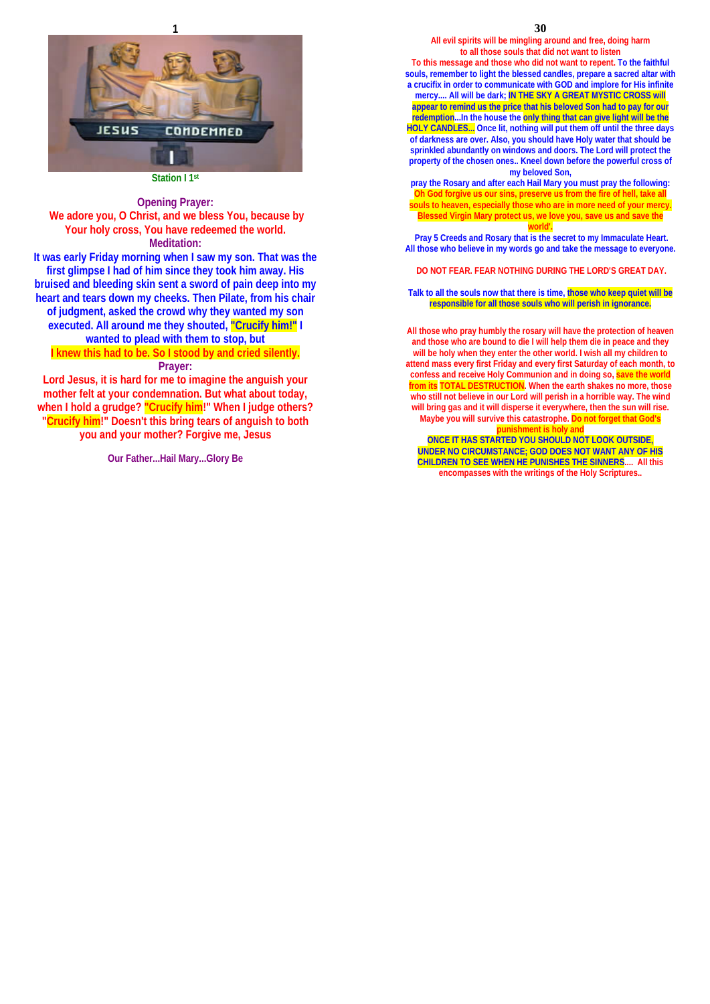

**Station I 1st** 

### **Opening Prayer:**

 **We adore you, O Christ, and we bless You, because by Your holy cross, You have redeemed the world. Meditation:** 

**It was early Friday morning when I saw my son. That was the first glimpse I had of him since they took him away. His bruised and bleeding skin sent a sword of pain deep into my heart and tears down my cheeks. Then Pilate, from his chair of judgment, asked the crowd why they wanted my son executed. All around me they shouted, "Crucify him!" I wanted to plead with them to stop, but I knew this had to be. So I stood by and cried silently. Prayer:** 

**Lord Jesus, it is hard for me to imagine the anguish your mother felt at your condemnation. But what about today, when I hold a grudge? "Crucify him!" When I judge others? "Crucify him!" Doesn't this bring tears of anguish to both you and your mother? Forgive me, Jesus** 

**Our Father...Hail Mary...Glory Be** 

**30** 

**All evil spirits will be mingling around and free, doing harm to all those souls that did not want to listen** 

**To this message and those who did not want to repent. To the faithful souls, remember to light the blessed candles, prepare a sacred altar with a crucifix in order to communicate with GOD and implore for His infinite mercy.... All will be dark; IN THE SKY A GREAT MYSTIC CROSS will appear to remind us the price that his beloved Son had to pay for our redemption...In the house the only thing that can give light will be the HOLY CANDLES... Once lit, nothing will put them off until the three days of darkness are over. Also, you should have Holy water that should be sprinkled abundantly on windows and doors. The Lord will protect the property of the chosen ones.. Kneel down before the powerful cross of my beloved Son,** 

**pray the Rosary and after each Hail Mary you must pray the following: Oh God forgive us our sins, preserve us from the fire of hell, take all souls to heaven, especially those who are in more need of your mercy. Blessed Virgin Mary protect us, we love you, save us and save the world'.** 

 **Pray 5 Creeds and Rosary that is the secret to my Immaculate Heart. All those who believe in my words go and take the message to everyone.** 

 **DO NOT FEAR. FEAR NOTHING DURING THE LORD'S GREAT DAY.** 

**Talk to all the souls now that there is time, those who keep quiet will be responsible for all those souls who will perish in ignorance.**

**All those who pray humbly the rosary will have the protection of heaven and those who are bound to die I will help them die in peace and they will be holy when they enter the other world. I wish all my children to attend mass every first Friday and every first Saturday of each month, to confess and receive Holy Communion and in doing so, save the world from its TOTAL DESTRUCTION. When the earth shakes no more, those who still not believe in our Lord will perish in a horrible way. The wind will bring gas and it will disperse it everywhere, then the sun will rise. Maybe you will survive this catastrophe. Do not forget that God's unishment is holy ONCE IT HAS STARTED YOU SHOULD NOT LOOK OUTSIDE,** 

**UNDER NO CIRCUMSTANCE; GOD DOES NOT WANT ANY OF HIS CHILDREN TO SEE WHEN HE PUNISHES THE SINNERS.... All this encompasses with the writings of the Holy Scriptures..**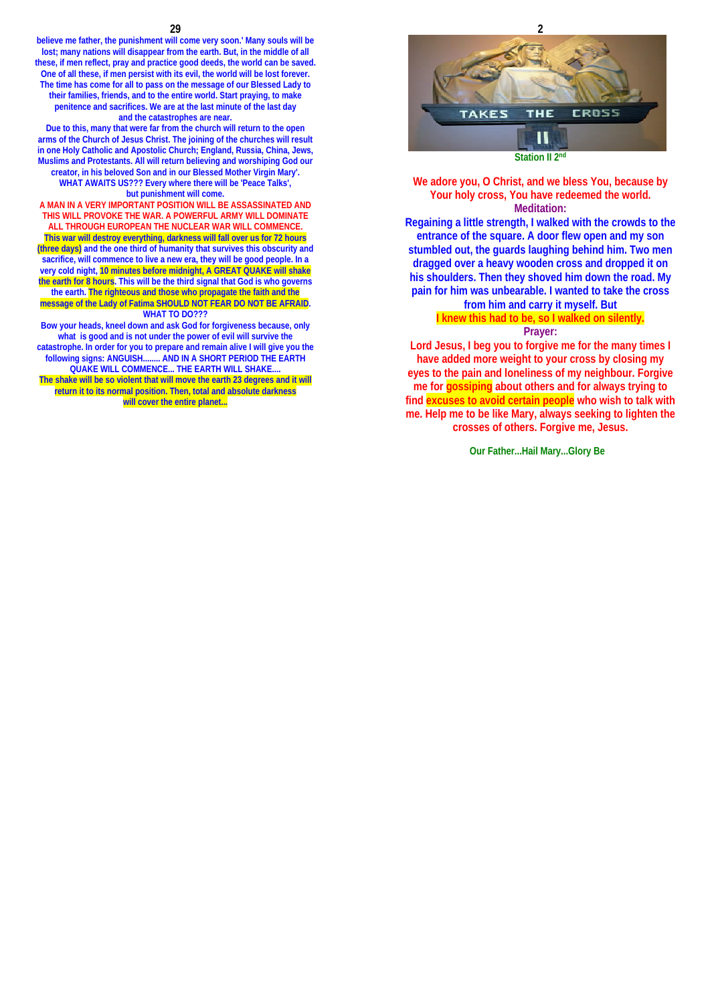#### **29**

**believe me father, the punishment will come very soon.' Many souls will be lost; many nations will disappear from the earth. But, in the middle of all these, if men reflect, pray and practice good deeds, the world can be saved. One of all these, if men persist with its evil, the world will be lost forever. The time has come for all to pass on the message of our Blessed Lady to their families, friends, and to the entire world. Start praying, to make penitence and sacrifices. We are at the last minute of the last day and the catastrophes are near.** 

**Due to this, many that were far from the church will return to the open arms of the Church of Jesus Christ. The joining of the churches will result in one Holy Catholic and Apostolic Church; England, Russia, China, Jews, Muslims and Protestants. All will return believing and worshiping God our creator, in his beloved Son and in our Blessed Mother Virgin Mary'. WHAT AWAITS US??? Every where there will be 'Peace Talks', but punishment will come.** 

**A MAN IN A VERY IMPORTANT POSITION WILL BE ASSASSINATED AND THIS WILL PROVOKE THE WAR. A POWERFUL ARMY WILL DOMINATE ALL THROUGH EUROPEAN THE NUCLEAR WAR WILL COMMENCE.**

**This war will destroy everything, darkness will fall over us for 72 hours (three days) and the one third of humanity that survives this obscurity and sacrifice, will commence to live a new era, they will be good people. In a very cold night, 10 minutes before midnight, A GREAT QUAKE will shake the earth for 8 hours. This will be the third signal that God is who governs the earth. The righteous and those who propagate the faith and the message of the Lady of Fatima SHOULD NOT FEAR DO NOT BE AFRAID. WHAT TO DO???** 

**Bow your heads, kneel down and ask God for forgiveness because, only** 

**what is good and is not under the power of evil will survive the catastrophe. In order for you to prepare and remain alive I will give you the following signs: ANGUISH........ AND IN A SHORT PERIOD THE EARTH QUAKE WILL COMMENCE... THE EARTH WILL SHAKE....** 

**The shake will be so violent that will move the earth 23 degrees and it will return it to its normal position. Then, total and absolute darkness will cover the entire planet...** 



**We adore you, O Christ, and we bless You, because by Your holy cross, You have redeemed the world. Meditation:** 

**Regaining a little strength, I walked with the crowds to the entrance of the square. A door flew open and my son stumbled out, the guards laughing behind him. Two men dragged over a heavy wooden cross and dropped it on his shoulders. Then they shoved him down the road. My pain for him was unbearable. I wanted to take the cross from him and carry it myself. But** 

### **I knew this had to be, so I walked on silently.**

### **Prayer:**

**Lord Jesus, I beg you to forgive me for the many times I have added more weight to your cross by closing my eyes to the pain and loneliness of my neighbour. Forgive me for gossiping about others and for always trying to find excuses to avoid certain people who wish to talk with me. Help me to be like Mary, always seeking to lighten the crosses of others. Forgive me, Jesus.**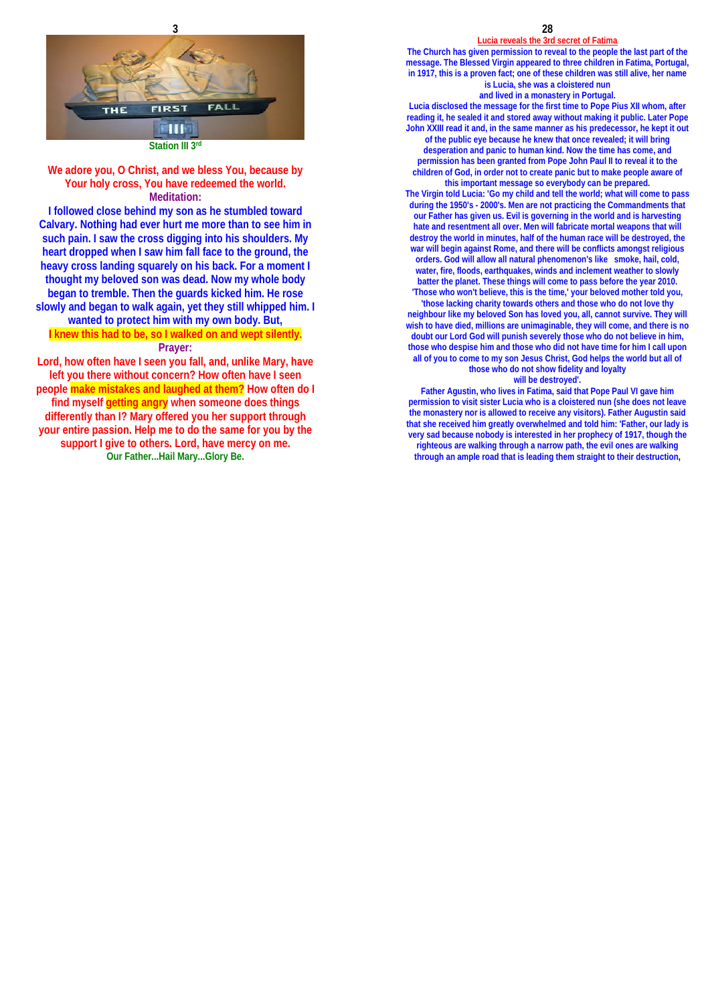

**Station III 3rd**

### **We adore you, O Christ, and we bless You, because by Your holy cross, You have redeemed the world. Meditation:**

**I followed close behind my son as he stumbled toward Calvary. Nothing had ever hurt me more than to see him in such pain. I saw the cross digging into his shoulders. My heart dropped when I saw him fall face to the ground, the heavy cross landing squarely on his back. For a moment I thought my beloved son was dead. Now my whole body began to tremble. Then the guards kicked him. He rose slowly and began to walk again, yet they still whipped him. I wanted to protect him with my own body. But, I knew this had to be, so I walked on and wept silently. Prayer:**

**Lord, how often have I seen you fall, and, unlike Mary, have left you there without concern? How often have I seen people make mistakes and laughed at them? How often do I find myself getting angry when someone does things differently than I? Mary offered you her support through your entire passion. Help me to do the same for you by the support I give to others. Lord, have mercy on me. Our Father...Hail Mary...Glory Be.**

**28 Lucia reveals the 3rd secret of Fatima**

**The Church has given permission to reveal to the people the last part of the message. The Blessed Virgin appeared to three children in Fatima, Portugal, in 1917, this is a proven fact; one of these children was still alive, her name is Lucia, she was a cloistered nun and lived in a monastery in Portugal.** 

**Lucia disclosed the message for the first time to Pope Pius XII whom, after reading it, he sealed it and stored away without making it public. Later Pope John XXIII read it and, in the same manner as his predecessor, he kept it out of the public eye because he knew that once revealed; it will bring desperation and panic to human kind. Now the time has come, and permission has been granted from Pope John Paul II to reveal it to the children of God, in order not to create panic but to make people aware of this important message so everybody can be prepared.** 

**The Virgin told Lucia: 'Go my child and tell the world; what will come to pass during the 1950's - 2000's. Men are not practicing the Commandments that our Father has given us. Evil is governing in the world and is harvesting hate and resentment all over. Men will fabricate mortal weapons that will destroy the world in minutes, half of the human race will be destroyed, the war will begin against Rome, and there will be conflicts amongst religious orders. God will allow all natural phenomenon's like smoke, hail, cold, water, fire, floods, earthquakes, winds and inclement weather to slowly batter the planet. These things will come to pass before the year 2010. 'Those who won't believe, this is the time,' your beloved mother told you, 'those lacking charity towards others and those who do not love thy neighbour like my beloved Son has loved you, all, cannot survive. They will wish to have died, millions are unimaginable, they will come, and there is no doubt our Lord God will punish severely those who do not believe in him, those who despise him and those who did not have time for him I call upon all of you to come to my son Jesus Christ, God helps the world but all of** 

**those who do not show fidelity and loyalty will be destroyed'.** 

**Father Agustin, who lives in Fatima, said that Pope Paul VI gave him permission to visit sister Lucia who is a cloistered nun (she does not leave the monastery nor is allowed to receive any visitors). Father Augustin said that she received him greatly overwhelmed and told him: 'Father, our lady is very sad because nobody is interested in her prophecy of 1917, though the righteous are walking through a narrow path, the evil ones are walking through an ample road that is leading them straight to their destruction,**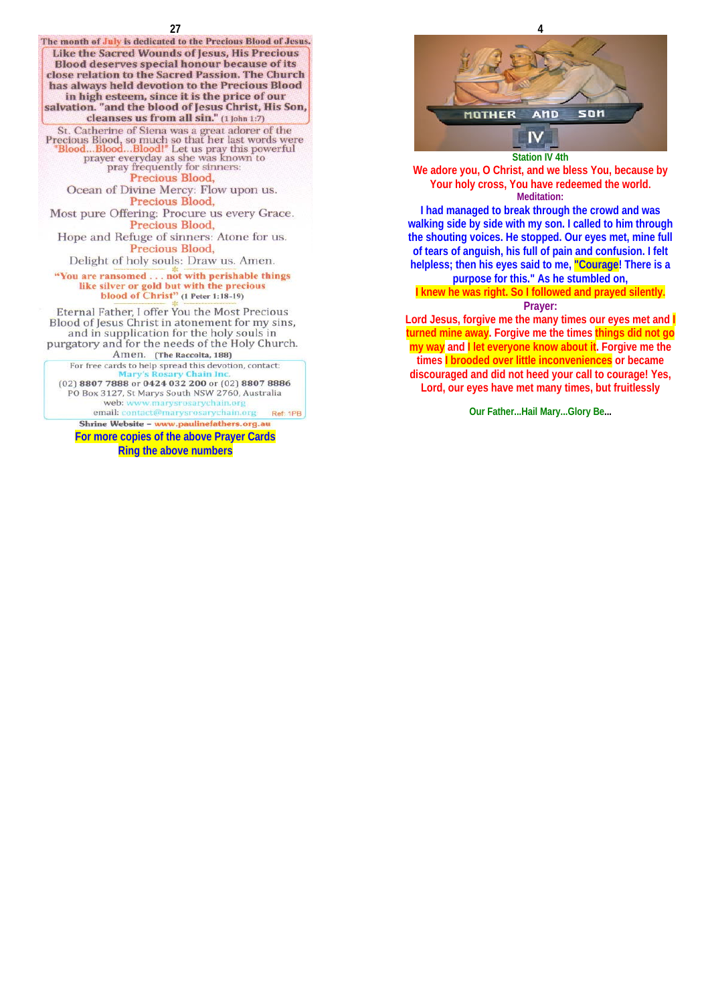



**I had managed to break through the crowd and was walking side by side with my son. I called to him through the shouting voices. He stopped. Our eyes met, mine full of tears of anguish, his full of pain and confusion. I felt helpless; then his eyes said to me, "Courage! There is a purpose for this." As he stumbled on,** 

### **I knew he was right. So I followed and prayed silently.**

### **Prayer:**

Lord Jesus, forgive me the many times our eyes met and **turned mine away. Forgive me the times things did not go my way and I let everyone know about it. Forgive me the times I brooded over little inconveniences or became discouraged and did not heed your call to courage! Yes, Lord, our eyes have met many times, but fruitlessly**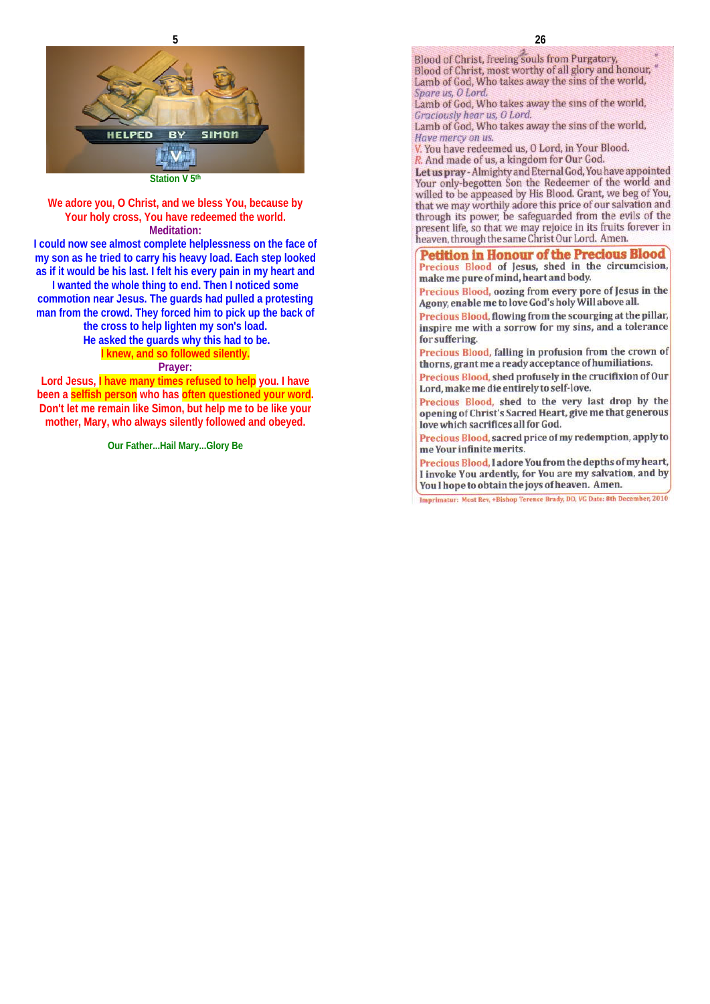

**Station V 5th**

**We adore you, O Christ, and we bless You, because by Your holy cross, You have redeemed the world. Meditation:** 

**I could now see almost complete helplessness on the face of my son as he tried to carry his heavy load. Each step looked as if it would be his last. I felt his every pain in my heart and** 

**I wanted the whole thing to end. Then I noticed some commotion near Jesus. The guards had pulled a protesting man from the crowd. They forced him to pick up the back of** 

> **the cross to help lighten my son's load. He asked the guards why this had to be. I knew, and so followed silently.**

### **Prayer:**

**Lord Jesus, I have many times refused to help you. I have been a selfish person who has often questioned your word. Don't let me remain like Simon, but help me to be like your mother, Mary, who always silently followed and obeyed.** 

**Our Father...Hail Mary...Glory Be**

**26** 

Blood of Christ, freeing souls from Purgatory, Blood of Christ, most worthy of all glory and honour, Lamb of God, Who takes away the sins of the world, Spare us, O Lord.

Lamb of God, Who takes away the sins of the world, Graciously hear us, O Lord.

Lamb of God, Who takes away the sins of the world, Have mercy on us.

V. You have redeemed us, O Lord, in Your Blood.

R. And made of us, a kingdom for Our God.

Let us pray - Almighty and Eternal God, You have appointed Your only-begotten Son the Redeemer of the world and willed to be appeased by His Blood. Grant, we beg of You, that we may worthily adore this price of our salvation and through its power, be safeguarded from the evils of the present life, so that we may rejoice in its fruits forever in heaven, through the same Christ Our Lord. Amen.

### **Petition in Honour of the Precious Blood**

Precious Blood of Jesus, shed in the circumcision, make me pure of mind, heart and body.

Precious Blood, oozing from every pore of Jesus in the Agony, enable me to love God's holy Will above all.

Precious Blood, flowing from the scourging at the pillar, inspire me with a sorrow for my sins, and a tolerance for suffering.

Precious Blood, falling in profusion from the crown of thorns, grant me a ready acceptance of humiliations.

Precious Blood, shed profusely in the crucifixion of Our Lord, make me die entirely to self-love.

Precious Blood, shed to the very last drop by the opening of Christ's Sacred Heart, give me that generous love which sacrifices all for God.

Precious Blood, sacred price of my redemption, apply to me Your infinite merits.

Precious Blood, I adore You from the depths of my heart, I invoke You ardently, for You are my salvation, and by You I hope to obtain the joys of heaven. Amen.

Imprimatur: Most Rev, +Bishop Terence Brady, DD, VG Date: 8th December, 2010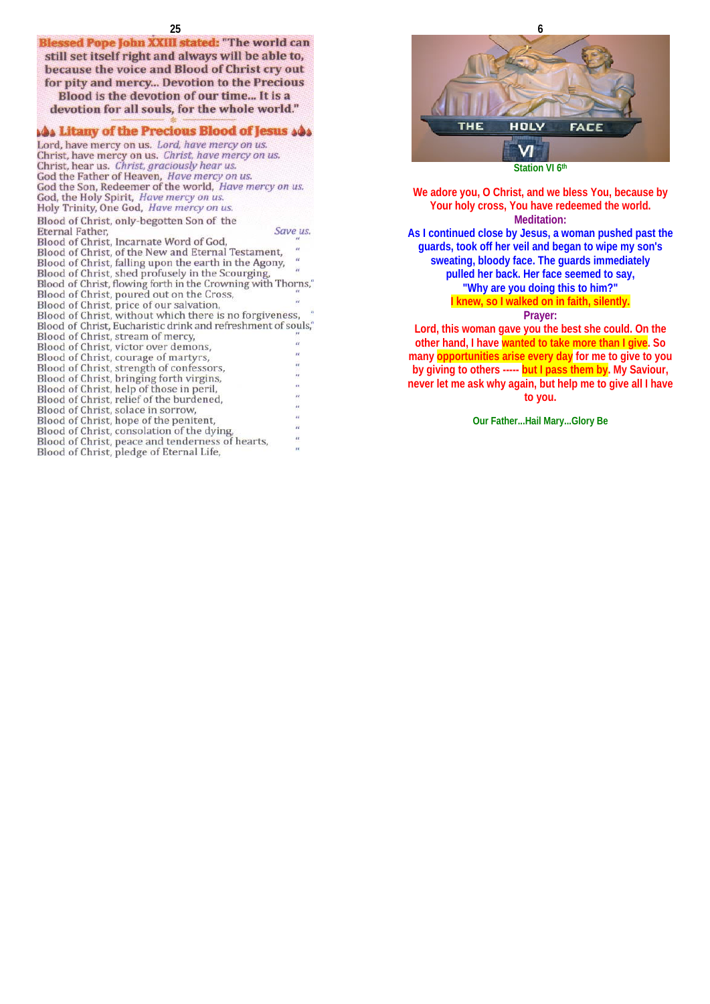still set itself right and always will be able to, because the voice and Blood of Christ cry out for pity and mercy... Devotion to the Precious Blood is the devotion of our time... It is a devotion for all souls, for the whole world."

### **As Litany of the Precious Blood of Jesus AAs**

Lord, have mercy on us. Lord, have mercy on us. Christ, have mercy on us. Christ, have mercy on us.<br>Christ, have mercy on us. Christ, have mercy on us. God the Father of Heaven, Have mercy on us. God the Son, Redeemer of the world, Have mercy on us. God, the Holy Spirit, Have mercy on us. Holy Trinity, One God, Have mercy on us. Blood of Christ, only-begotten Son of the **Eternal Father,** Save us. Blood of Christ, Incarnate Word of God, Blood of Christ, of the New and Eternal Testament, Blood of Christ, falling upon the earth in the Agony, Blood of Christ, shed profusely in the Scourging, Blood of Christ, flowing forth in the Crowning with Thorns, Blood of Christ, poured out on the Cross, Blood of Christ, price of our salvation, Blood of Christ, without which there is no forgiveness, "<br>Blood of Christ, Eucharistic drink and refreshment of souls," Blood of Christ, stream of mercy, Blood of Christ, victor over demons, Blood of Christ, courage of martyrs, Blood of Christ, strength of confessors, Blood of Christ, bringing forth virgins, Blood of Christ, help of those in peril, Blood of Christ, relief of the burdened, Blood of Christ, solace in sorrow, Blood of Christ, hope of the penitent, Blood of Christ, consolation of the dying, Blood of Christ, peace and tenderness of hearts, Blood of Christ, pledge of Eternal Life,



**We adore you, O Christ, and we bless You, because by Your holy cross, You have redeemed the world. Meditation: As I continued close by Jesus, a woman pushed past the guards, took off her veil and began to wipe my son's sweating, bloody face. The guards immediately pulled her back. Her face seemed to say, "Why are you doing this to him?"** 

## **I knew, so I walked on in faith, silently.**

### **Prayer:**

**Lord, this woman gave you the best she could. On the other hand, I have wanted to take more than I give. So many opportunities arise every day for me to give to you by giving to others ----- but I pass them by. My Saviour, never let me ask why again, but help me to give all I have to you.**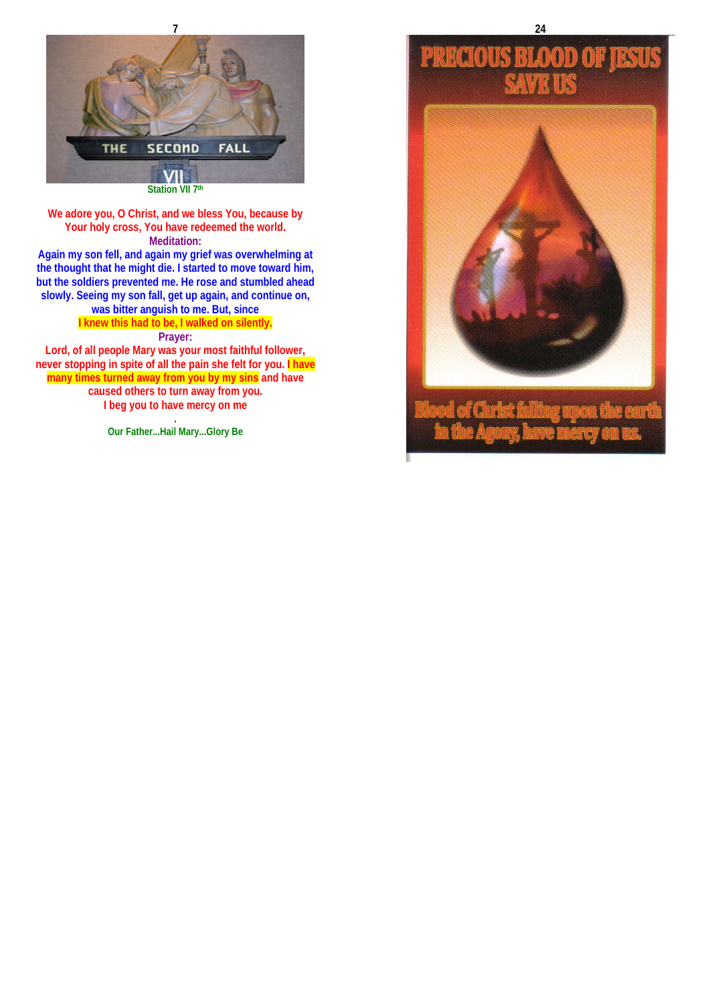

**Again my son fell, and again my grief was overwhelming at the thought that he might die. I started to move toward him, but the soldiers prevented me. He rose and stumbled ahead slowly. Seeing my son fall, get up again, and continue on, was bitter anguish to me. But, since** 

**I knew this had to be, I walked on silently.** 

### **Prayer:**

**Lord, of all people Mary was your most faithful follower, never stopping in spite of all the pain she felt for you. I have many times turned away from you by my sins and have caused others to turn away from you. I beg you to have mercy on me** 

> **. Our Father...Hail Mary...Glory Be**

# **PRECIOUS**  $\mathbb{X}$



**24**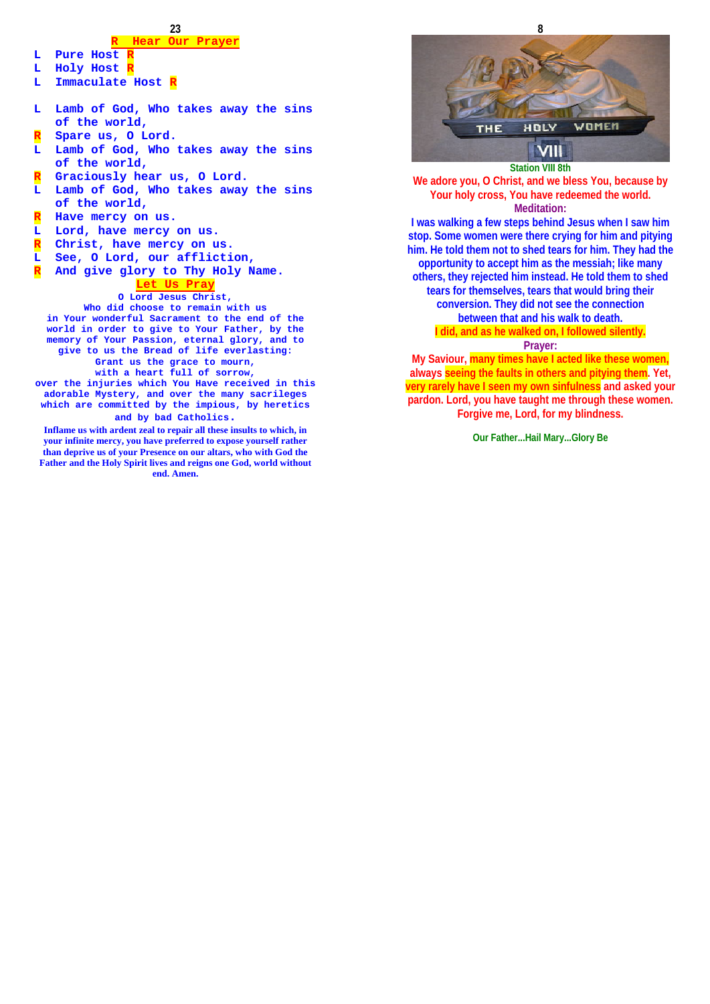### **23**

### **R Hear Our Prayer**

- **L** Pure Host
- **L Holy Host R**
- **L Immaculate Host R**
- **L Lamb of God, Who takes away the sins of the world,**
- **R Spare us, O Lord.**
- **L Lamb of God, Who takes away the sins of the world,**
- **R Graciously hear us, O Lord.**
- **L Lamb of God, Who takes away the sins of the world,**
- **R Have mercy on us.**
- **L Lord, have mercy on us.**
- 
- **R Christ, have mercy on us. L See, O Lord, our affliction,**
- **R And give glory to Thy Holy Name.**

#### **Let Us Pray**

#### **O Lord Jesus Christ,**

**Who did choose to remain with us in Your wonderful Sacrament to the end of the world in order to give to Your Father, by the memory of Your Passion, eternal glory, and to give to us the Bread of life everlasting: Grant us the grace to mourn,** 

**with a heart full of sorrow,** 

**over the injuries which You Have received in this adorable Mystery, and over the many sacrileges which are committed by the impious, by heretics and by bad Catholics.** 

**Inflame us with ardent zeal to repair all these insults to which, in** 

**your infinite mercy, you have preferred to expose yourself rather than deprive us of your Presence on our altars, who with God the Father and the Holy Spirit lives and reigns one God, world without end. Amen.**



**We adore you, O Christ, and we bless You, because by Your holy cross, You have redeemed the world. Meditation: I was walking a few steps behind Jesus when I saw him** 

**stop. Some women were there crying for him and pitying him. He told them not to shed tears for him. They had the opportunity to accept him as the messiah; like many others, they rejected him instead. He told them to shed tears for themselves, tears that would bring their conversion. They did not see the connection between that and his walk to death.** 

### **I did, and as he walked on, I followed silently. Prayer:**

**My Saviour, many times have I acted like these women, always seeing the faults in others and pitying them. Yet, very rarely have I seen my own sinfulness and asked your pardon. Lord, you have taught me through these women. Forgive me, Lord, for my blindness.**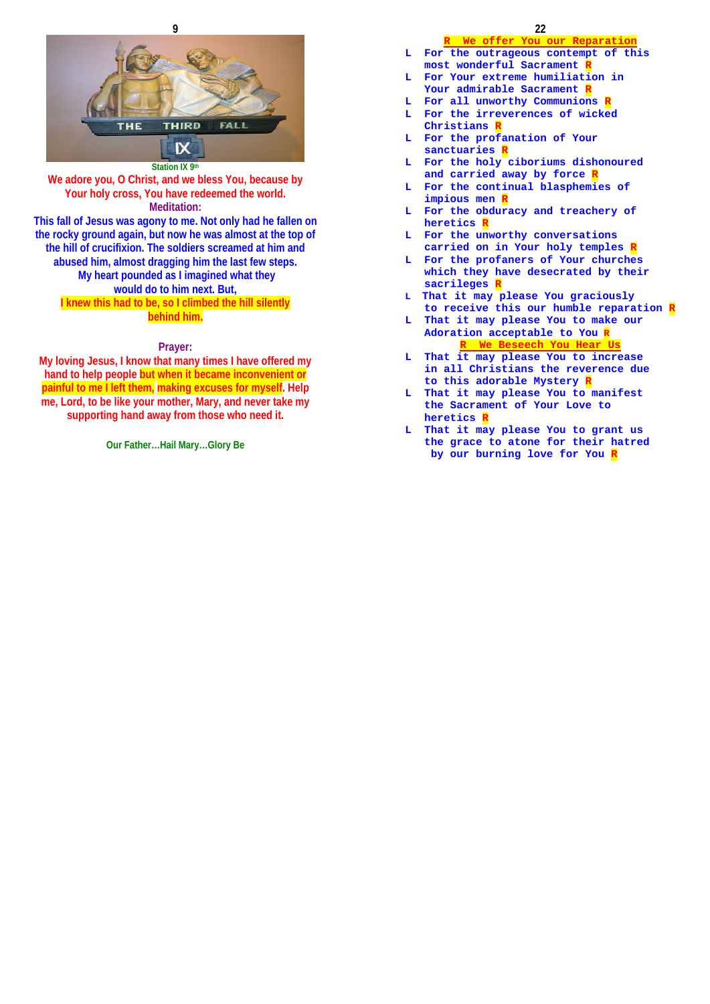



**Station IX 9th We adore you, O Christ, and we bless You, because by Your holy cross, You have redeemed the world. Meditation: This fall of Jesus was agony to me. Not only had he fallen on the rocky ground again, but now he was almost at the top of the hill of crucifixion. The soldiers screamed at him and abused him, almost dragging him the last few steps. My heart pounded as I imagined what they would do to him next. But,** 

**I knew this had to be, so I climbed the hill silently behind him.** 

### **Prayer:**

**My loving Jesus, I know that many times I have offered my hand to help people but when it became inconvenient or painful to me I left them, making excuses for myself. Help me, Lord, to be like your mother, Mary, and never take my supporting hand away from those who need it.**

**Our Father…Hail Mary…Glory Be**

### **R We offer You our Reparation**

- **L For the outrageous contempt of this most wonderful Sacrament R**
- **L For Your extreme humiliation in Your admirable Sacrament R**
- **L** For all unworthy Communions **R L For the irreverences of wicked**
- **Christians R**
- **L For the profanation of Your sanctuaries R**
- **L For the holy ciboriums dishonoured and carried away by force R**
- **L For the continual blasphemies of**  impious men **F**
- **L For the obduracy and treachery of heretics R**
- **L For the unworthy conversations carried on in Your holy temples R**
- **L For the profaners of Your churches which they have desecrated by their sacrileges R**
- **L That it may please You graciously to receive this our humble reparation R**
- **L That it may please You to make our Adoration acceptable to You R R We Beseech You Hear Us**
- **L That it may please You to increase in all Christians the reverence due to this adorable Mystery R**
- **L That it may please You to manifest the Sacrament of Your Love to heretics R**
- **L That it may please You to grant us the grace to atone for their hatred by our burning love for You R**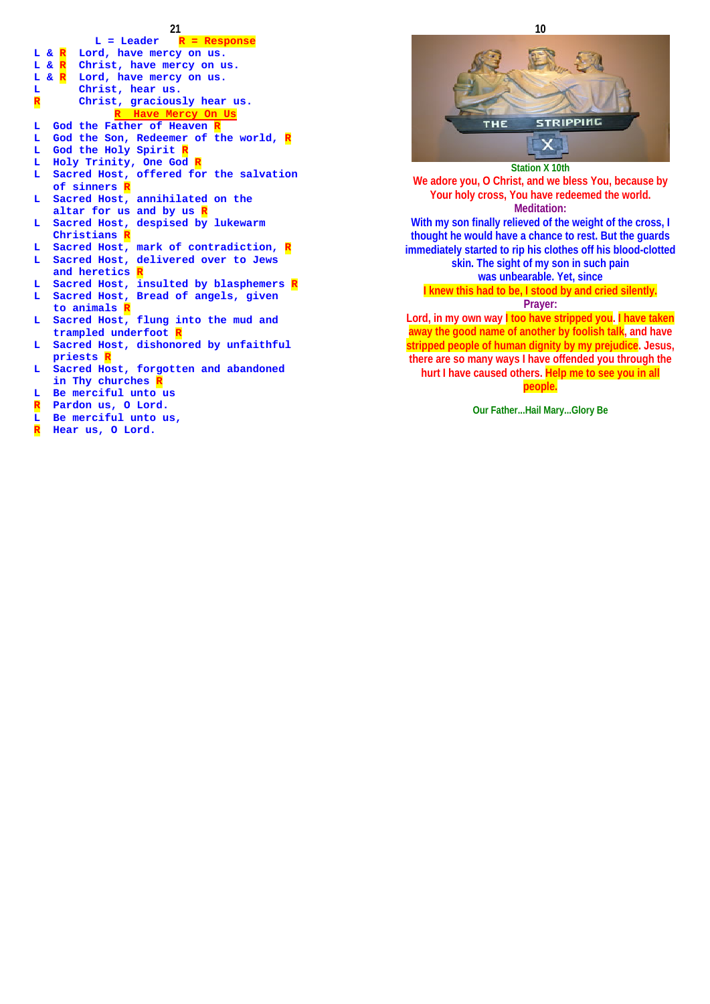- **21 L = Leader R = Response L & R Lord, have mercy on us. L & R Christ, have mercy on us. L & R Lord, have mercy on us.**  L Christ, hear us.<br>**R** Christ, gracious Christ, graciously hear us. **R Have Mercy On Us L God the Father of Heaven R L God the Son, Redeemer of the world, R L God the Holy Spirit R L Holy Trinity, One God R**  Sacred Host, offered for the salvation  **of sinners R L Sacred Host, annihilated on the altar for us and by us R L Sacred Host, despised by lukewarm Christians R L Sacred Host, mark of contradiction, R L Sacred Host, delivered over to Jews and heretics** Sacred Host, insulted by blasphemers R **L Sacred Host, Bread of angels, given to animals R L Sacred Host, flung into the mud and trampled underfoot I**<br>L. Sacred Host, dishono Sacred Host, dishonored by unfaithful  **priests R L Sacred Host, forgotten and abandoned**  in Thy churches  $|$ **L Be merciful unto us R Pardon us, O Lord.**
- **L Be merciful unto us,**
- **R Hear us, O Lord.**



**We adore you, O Christ, and we bless You, because by Your holy cross, You have redeemed the world. Meditation: With my son finally relieved of the weight of the cross, I thought he would have a chance to rest. But the guards immediately started to rip his clothes off his blood-clotted skin. The sight of my son in such pain was unbearable. Yet, since I knew this had to be, I stood by and cried silently. Prayer:** 

**Lord, in my own way I too have stripped you. I have taken away the good name of another by foolish talk, and have stripped people of human dignity by my prejudice. Jesus, there are so many ways I have offended you through the hurt I have caused others. Help me to see you in all people.**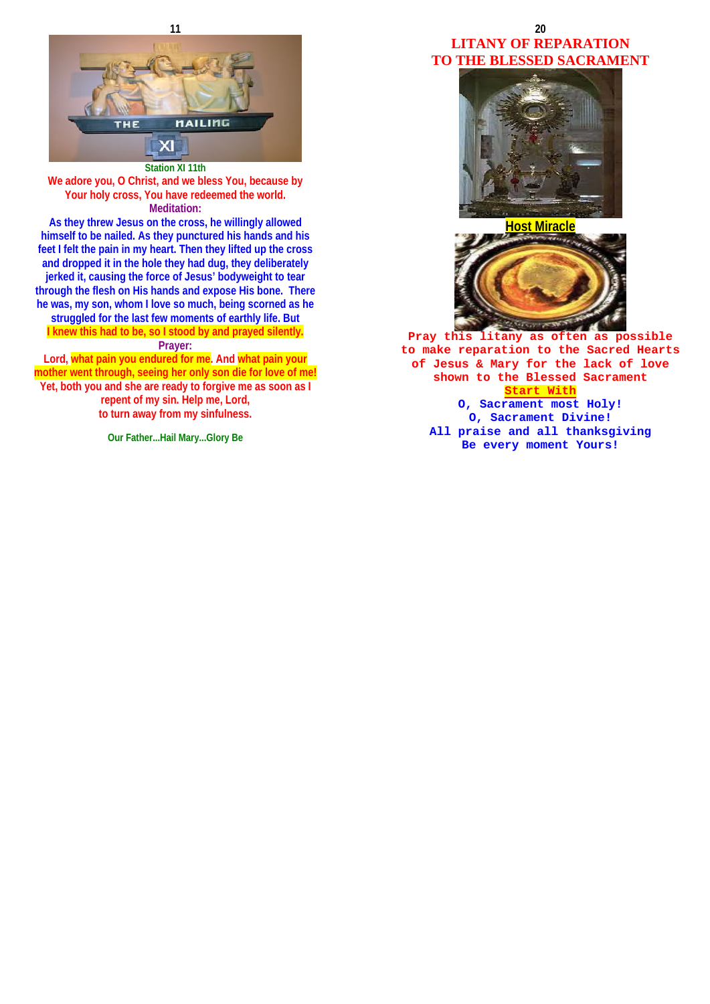



**As they threw Jesus on the cross, he willingly allowed himself to be nailed. As they punctured his hands and his feet I felt the pain in my heart. Then they lifted up the cross and dropped it in the hole they had dug, they deliberately jerked it, causing the force of Jesus' bodyweight to tear through the flesh on His hands and expose His bone. There he was, my son, whom I love so much, being scorned as he struggled for the last few moments of earthly life. But I knew this had to be, so I stood by and prayed silently. Prayer:** 

**Lord, what pain you endured for me. And what pain your mother went through, seeing her only son die for love of me! Yet, both you and she are ready to forgive me as soon as I repent of my sin. Help me, Lord, to turn away from my sinfulness.** 

**Our Father...Hail Mary...Glory Be**

### **20 LITANY OF REPARATION TO THE BLESSED SACRAMENT**



**Host Miracle**



**Pray this litany as often as possible to make reparation to the Sacred Hearts of Jesus & Mary for the lack of love shown to the Blessed Sacrament Start With O, Sacrament most Holy! O, Sacrament Divine! All praise and all thanksgiving Be every moment Yours!**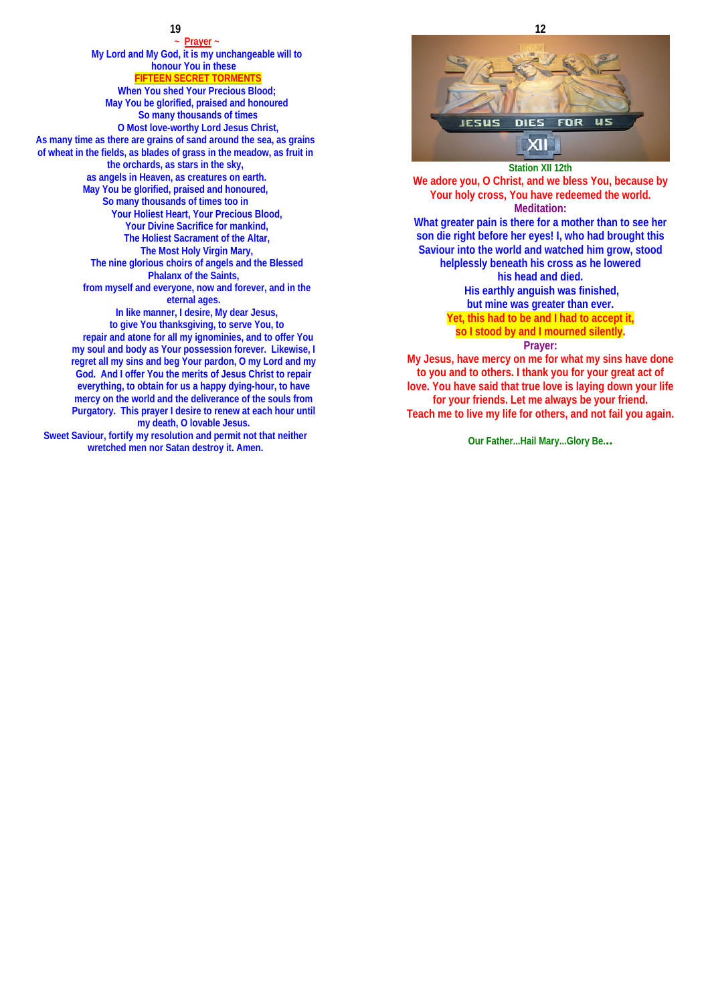### **19**

**~ Prayer ~ My Lord and My God, it is my unchangeable will to honour You in these FIFTEEN SECRET TORMENTS**

**When You shed Your Precious Blood; May You be glorified, praised and honoured So many thousands of times O Most love-worthy Lord Jesus Christ, As many time as there are grains of sand around the sea, as grains of wheat in the fields, as blades of grass in the meadow, as fruit in the orchards, as stars in the sky, as angels in Heaven, as creatures on earth. May You be glorified, praised and honoured, So many thousands of times too in Your Holiest Heart, Your Precious Blood, Your Divine Sacrifice for mankind, The Holiest Sacrament of the Altar, The Most Holy Virgin Mary, The nine glorious choirs of angels and the Blessed Phalanx of the Saints, from myself and everyone, now and forever, and in the eternal ages. In like manner, I desire, My dear Jesus, to give You thanksgiving, to serve You, to repair and atone for all my ignominies, and to offer You my soul and body as Your possession forever. Likewise, I regret all my sins and beg Your pardon, O my Lord and my God. And I offer You the merits of Jesus Christ to repair everything, to obtain for us a happy dying-hour, to have mercy on the world and the deliverance of the souls from Purgatory. This prayer I desire to renew at each hour until my death, O lovable Jesus. Sweet Saviour, fortify my resolution and permit not that neither wretched men nor Satan destroy it. Amen.**



**Station XII 12th We adore you, O Christ, and we bless You, because by Your holy cross, You have redeemed the world. Meditation: What greater pain is there for a mother than to see her son die right before her eyes! I, who had brought this Saviour into the world and watched him grow, stood helplessly beneath his cross as he lowered his head and died. His earthly anguish was finished, but mine was greater than ever. Yet, this had to be and I had to accept it, so I stood by and I mourned silently. Prayer:** 

**My Jesus, have mercy on me for what my sins have done to you and to others. I thank you for your great act of love. You have said that true love is laying down your life for your friends. Let me always be your friend. Teach me to live my life for others, and not fail you again.**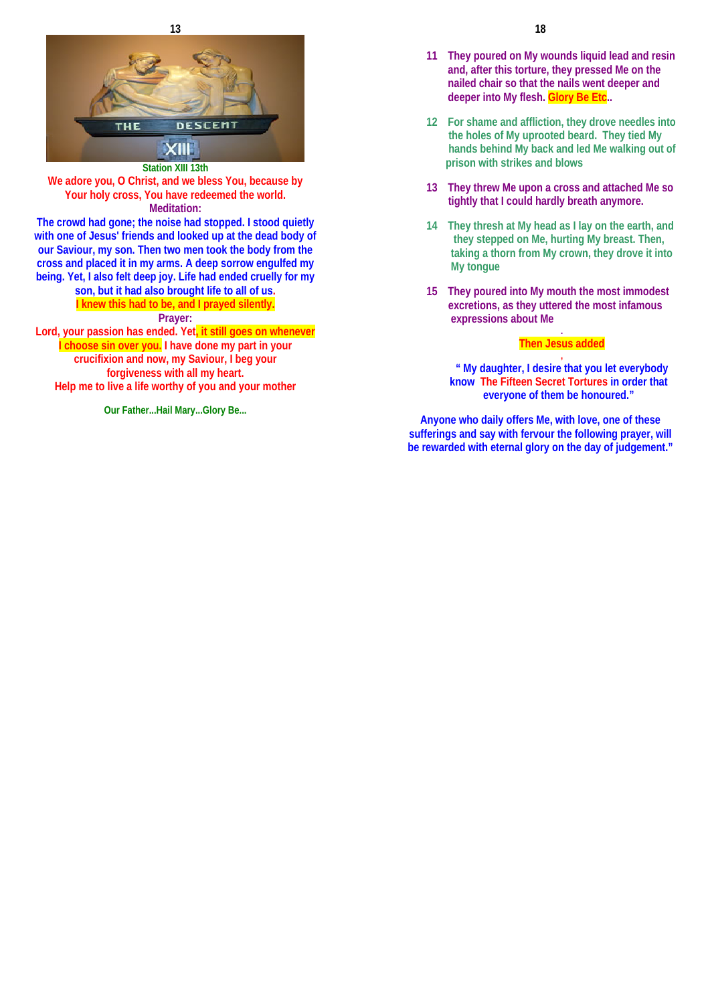



**The crowd had gone; the noise had stopped. I stood quietly with one of Jesus' friends and looked up at the dead body of our Saviour, my son. Then two men took the body from the cross and placed it in my arms. A deep sorrow engulfed my being. Yet, I also felt deep joy. Life had ended cruelly for my** 

> **son, but it had also brought life to all of us. I knew this had to be, and I prayed silently.**

**Prayer:** 

**Lord, your passion has ended. Yet, it still goes on whenever I choose sin over you. I have done my part in your crucifixion and now, my Saviour, I beg your forgiveness with all my heart. Help me to live a life worthy of you and your mother** 

**Our Father...Hail Mary...Glory Be...**

- **11 They poured on My wounds liquid lead and resin and, after this torture, they pressed Me on the nailed chair so that the nails went deeper and deeper into My flesh. Glory Be Etc..**
- **12 For shame and affliction, they drove needles into the holes of My uprooted beard. They tied My hands behind My back and led Me walking out of prison with strikes and blows**
- **13 They threw Me upon a cross and attached Me so tightly that I could hardly breath anymore.**
- **14 They thresh at My head as I lay on the earth, and they stepped on Me, hurting My breast. Then, taking a thorn from My crown, they drove it into My tongue**
- **15 They poured into My mouth the most immodest excretions, as they uttered the most infamous expressions about Me .**

### **Then Jesus added**

**" My daughter, I desire that you let everybody know The Fifteen Secret Tortures in order that everyone of them be honoured."** 

**Anyone who daily offers Me, with love, one of these sufferings and say with fervour the following prayer, will be rewarded with eternal glory on the day of judgement."**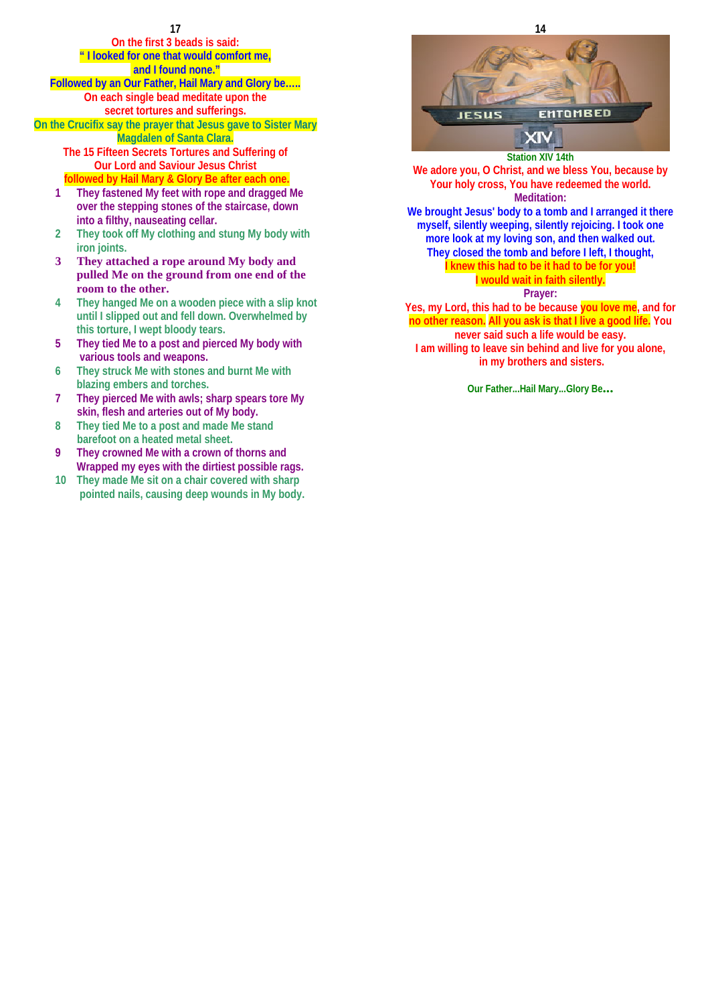### **On the first 3 beads is said: " I looked for one that would comfort me, and I found none." Followed by an Our Father, Hail Mary and Glory be….. On each single bead meditate upon the secret tortures and sufferings. On the Crucifix say the prayer that Jesus gave to Sister Mary**

**Magdalen of Santa Clara. The 15 Fifteen Secrets Tortures and Suffering of** 

### **Our Lord and Saviour Jesus Christ followed by Hail Mary & Glory Be after each one.**

- **1 They fastened My feet with rope and dragged Me over the stepping stones of the staircase, down into a filthy, nauseating cellar.**
- **2 They took off My clothing and stung My body with iron joints.**
- **3 They attached a rope around My body and pulled Me on the ground from one end of the room to the other.**
- **4 They hanged Me on a wooden piece with a slip knot until I slipped out and fell down. Overwhelmed by this torture, I wept bloody tears.**
- **5 They tied Me to a post and pierced My body with various tools and weapons.**
- **6 They struck Me with stones and burnt Me with blazing embers and torches.**
- **7 They pierced Me with awls; sharp spears tore My skin, flesh and arteries out of My body.**
- **8 They tied Me to a post and made Me stand barefoot on a heated metal sheet.**
- **9 They crowned Me with a crown of thorns and Wrapped my eyes with the dirtiest possible rags.**
- **10 They made Me sit on a chair covered with sharp pointed nails, causing deep wounds in My body.**



**Station XIV 14th** 

**We adore you, O Christ, and we bless You, because by Your holy cross, You have redeemed the world. Meditation: We brought Jesus' body to a tomb and I arranged it there myself, silently weeping, silently rejoicing. I took one** 

**more look at my loving son, and then walked out. They closed the tomb and before I left, I thought, I knew this had to be it had to be for you!** 

### **I would wait in faith silently. Prayer:**

**Yes, my Lord, this had to be because you love me, and for no other reason. All you ask is that I live a good life. You never said such a life would be easy. I am willing to leave sin behind and live for you alone, in my brothers and sisters.**